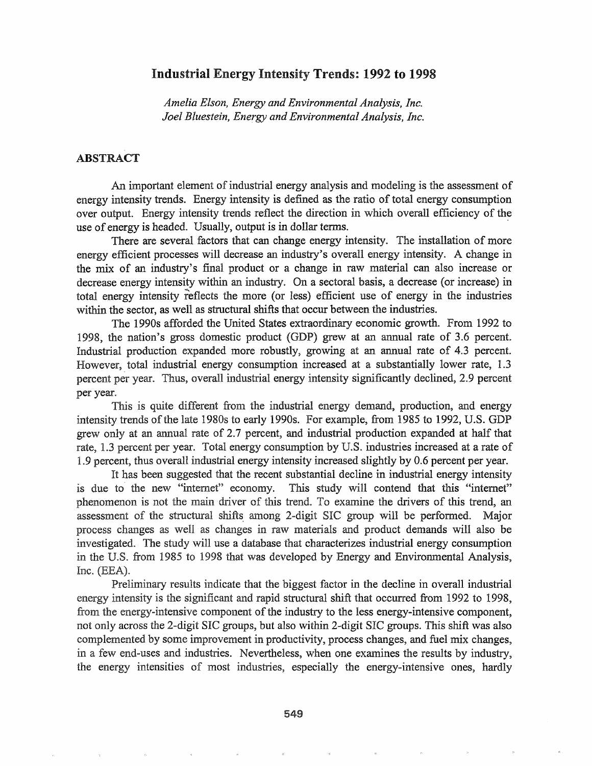### Industrial Energy Intensity Trends: 1992 to 1998

*Amelia Elson, Energy and Environmental Analysis, Inc. Joel Bluestein, Energy and Environmental Analysis, Inc.*

#### ABSTRACT

An important element of industrial energy analysis and modeling is the assessment of energy intensity trends. Energy intensity is defined as the ratio of total energy consumption over output. Energy intensity trends reflect the direction in which overall efficiency of the use of energy is headed. Usually, output is in dollar terms. .

There are several factors that can change energy intensity. The installation of more energy efficient processes will decrease an industry's overall energy intensity. A change in the mix of an industry's final product or a change in raw material can also increase or decrease energy intensity within an industry. On a sectoral basis, a decrease (or increase) in total energy intensity reflects the more (or less) efficient use of energy in the industries within the sector, as well as structural shifts that occur between the industries.

The 1990s afforded the United States extraordinary economic growth.. From 1992 to 1998, the nation's gross domestic product (GDP) grew at an annual rate of 3.6 percent. Industrial production expanded more robustly, growing at an annual rate of 4.3 percent. However, total industrial energy consumption increased at a substantially lower rate, 1.3 percent per year.. Thus, overall industrial energy intensity significantly declined, 2.9 percent per year.

This is quite different from the industrial energy demand, production, and energy intensity trends of the late 1980s to early 1990s. For example, from 1985 to 1992, U.S. GDP grew only at an annual rate of 2.7 percent, and industrial production expanded at half that rate, 1.3 percent per year. Total energy consumption by U.S. industries increased at a rate of 1.9 percent, thus overall industrial energy intensity increased slightly by 0.6 percent per year.

It has been suggested that the recent substantial decline in industrial energy intensity is due to the new "internet" economy. This study will contend that this "internet" phenomenon is not the main driver of this trend. To examine the drivers of this trend, an assessment of the structural shifts among 2-digit SIC group will be performed. Major process changes as well as changes in raw materials and product demands will also be investigated. The study will use a database that characterizes industrial energy consumption in the U.S. from 1985 to 1998 that was developed by Energy and Environmental Analysis, Inc.  $(EEA).$ 

Preliminary results indicate that the biggest factor in the decline in overall industrial energy intensity is the significant and rapid structural shift that occurred from 1992 to 1998, from the energy-intensive component of the industry to the less energy-intensive component, not only across the 2-digit SIC groups, but also within 2-digit SIC groups. This shift was also complemented by some improvement in productivity, process changes, and fuel mix changes, in a few end-uses and industries. Nevertheless, when one examines the results by industry, the energy intensities of most industries, especially the energy-intensive ones, hardly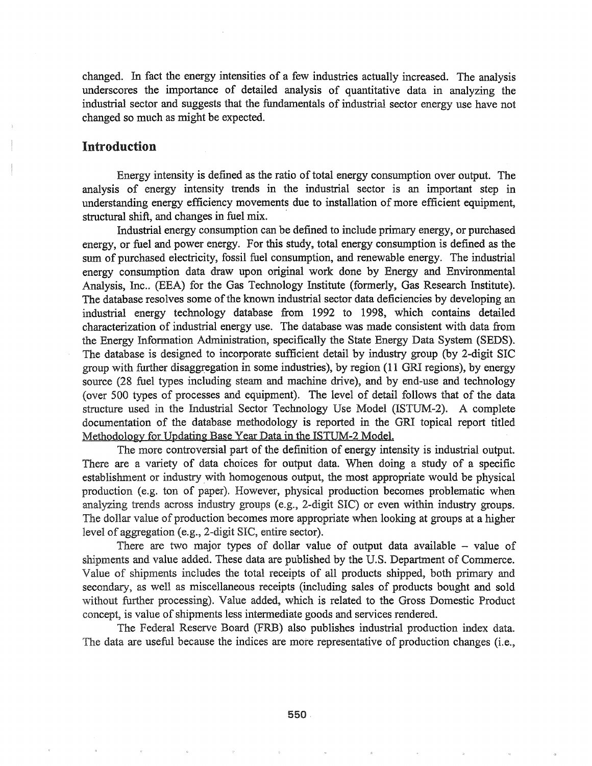changed. In fact the energy intensities of a few industries actually increased. The analysis underscores the importance of detailed analysis of quantitative data in analyzing the industrial sector and suggests that the fundamentals of industrial sector energy use have not changed so much as might be expected.

#### Introduction

Energy intensity is defined as the ratio of total energy consumption over output. The analysis of energy intensity trends in the industrial sector is an important step in understanding energy efficiency movements due to installation of more efficient equipment, structural shift, and changes in fuel mix. .

Industrial energy consumption can be defined to include primary energy, or purchased energy, or fuel and power energy. For this study, total energy consumption is defined as the sum of purchased electricity, fossil-fuel consumption, and renewable energy. The industrial energy consumption data draw upon original work done by Energy and Environmental Analysis, Inc.. (EEA) for the Gas Technology Institute (formerly, Gas Research Institute). The database resolves some of the known industrial sector data deficiencies by developing an industrial energy technology database from 1992 to 1998, which contains detailed characterization of industrial energy use. The database was made consistent with data from the Energy Information Administration, specifically the State Energy Data System (SEDS). The database is designed to incorporate sufficient detail by industry group (by 2-digit SIC group with further disaggregation in some industries), by region (11 GRI regions), by energy source (28 fuel types including steam and machine drive), and by end-use and technology (over 500 types of processes and equipment). The level of detail follows that of the data structure used in the Industrial Sector Technology Use Model (ISTUM-2). A complete documentation of the database methodology is reported in the GRI topical report titled Methodology for Updating Base Year Data in the ISTUM-2 Model.

The more controversial part of the definition of energy intensity is industrial output. There are a variety of data choices for output data. When doing a study of a specific establishment or industry with homogenous output, the most appropriate would be physical production (e.g. ton of paper). However, physical production becomes problematic when analyzing trends across industry groups (e.g., 2-digit SIC) or even within industry groups. The dollar value of production becomes more appropriate when looking at groups at a higher level of aggregation (e.g., 2-digit SIC, entire sector).

There are two major types of dollar value of output data available  $-$  value of shipments and value added. These data are published by the U.S. Department of Commerce. Value of shipments includes the total receipts of all products shipped, both primary and secondary, as well as miscellaneous receipts (including sales of products bought and sold without further processing). Value added, which is related to the Gross Domestic Product concept, is value of shipments less intermediate goods and services rendered.

The Federal Reserve Board (FRB) also publishes industrial production index data. The data are useful because the indices are more representative of production changes (i.e.,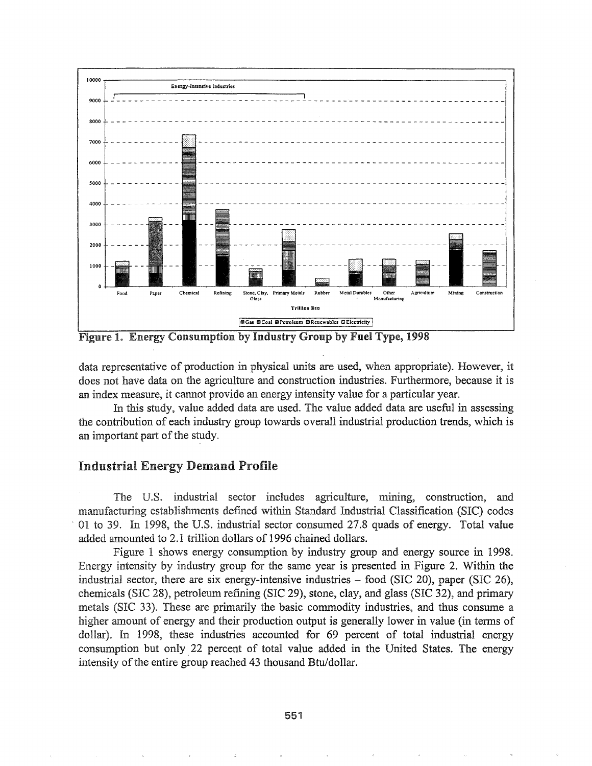

Figure 1. Energy Consumption by Industry Group by Fuel Type, 1998

data representative of production in physical units are used, when appropriate). However, it does not have data on the agriculture and construction industries. Furthennore, because it is an index measure, it cannot provide an energy intensity value for a particular year.

In this study, value added data are used. The value added data are useful in assessing the contribution of each industry group towards overall industrial production trends, which is an important part of the study.

# Industrial Energy Demand Profile

The U.S. industrial sector includes agriculture, mining, construction, and manufacturing establishments defined within Standard Industrial Classification (SIC) codes . 01 to 39. 1998, the U.S. industrial sector consumed 27.8 quads of energy. Total value added amounted to 2.1 trillion dollars of 1996 chained dollars.

Figure 1 shows energy consumption by industry group and energy source in 1998. Energy intensity by industry group for the same year is presented in Figure 2. Within the industrial sector, there are six energy-intensive industries  $-$  food (SIC 20), paper (SIC 26), chemicals (SIC 28), petroleum refining (SIC 29), stone, clay, and glass (SIC 32), and primary metals (SIC 33). These are primarily the basic commodity industries, and thus consume a higher amount of energy and their production output is generally lower in value (in terms of dollar). In 1998, these industries accounted for 69 percent of total industrial energy consumption but only, 22 percent of total value added in the United States. The energy intensity of the entire group reached 43 thousand Btu/dollar.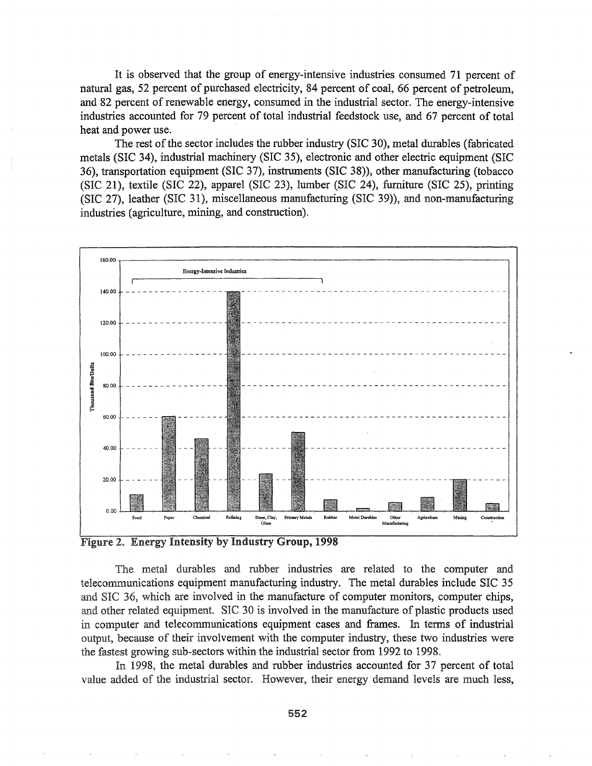It is observed that the group of energy-intensive industries consumed 71 percent of natural gas, 52 percent of purchased electricity, 84 percent of coal, 66 percent of petroleum, and 82 percent of renewable energy, consumed in the industrial sector. The energy-intensive industries accounted for 79 percent of total industrial feedstock use, and 67 percent of total heat and power use.

The rest of the sector includes the rubber industry (SIC 30), metal durables (fabricated metals (SIC 34), industrial machinery (SIC 35), electronic and other electric equipment (SIC 36), transportation equipment (SIC 37), instruments (SIC 38)), other manufacturing (tobacco (SIC 21), textile (SIC 22), apparel (SIC 23), lumber (SIC 24), furniture (SIC 25), printing (SIC 27), leather (SIC 31), miscellaneous manufacturing (SIC 39)), and non-manufacturing industries (agriculture, mining, and construction).



Figure 2. Energy Intensity by Industry Group, 1998

The metal durables and rubber industries are related to the computer and telecommunications equipment manufacturing industry. The metal durables include SIC 35 and 36, which are involved in the manufacture of computer monitors, computer chips, and other related equipment. SIC 30 is involved in the manufacture of plastic products used computer and telecommunications equipment cases and frames. In terms of industrial output, because of their involvement with the computer industry, these two industries were the fastest growing sub-sectors within the industrial sector from 1992 to 1998.

In 1998, the metal durables and rubber industries accounted for 37 percent of total value added of the industrial sector. However, their energy demand levels are much less,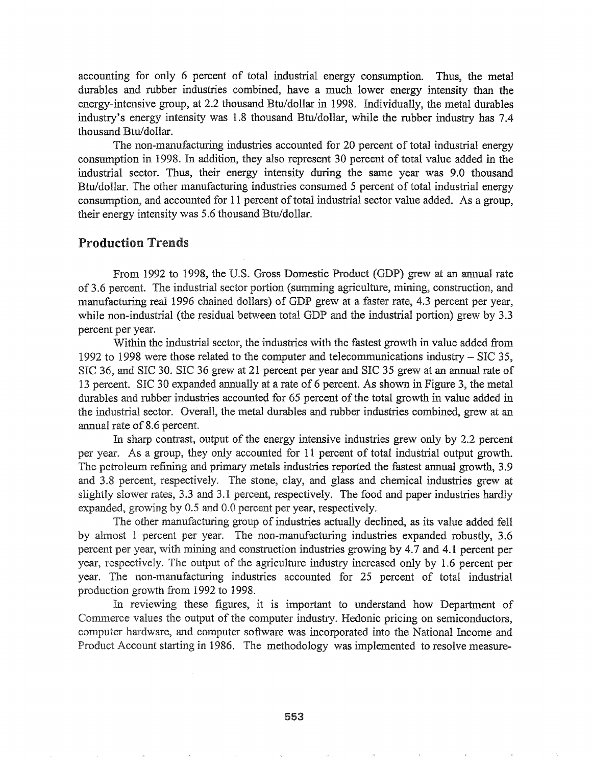accounting for only 6 percent of total industrial energy consumption. Thus, the metal durables and rubber industries combined, have a much lower energy intensity than the energy-intensive group, at 2.2 thousand Btu/dollar in 1998. Individually, the metal durables industry's energy intensity was 1.8 thousand Btu/dollar, while the rubber industry has 7.4 thousand Btu/dollar.

The non-manufacturing industries accounted for 20 percent of total industrial energy consumption in 1998. In addition, they also represent 30 percent of total value added in the industrial sector. Thus, their energy intensity during the same year was 9.0 thousand Btu/dollar. The other manufacturing industries consumed 5 percent of total industrial energy consumption, and accounted for 11 percent of total industrial sector value added. As a group, their energy intensity was 5.6 thousand Btu/dollar.

### Production Trends

From 1992 to 1998, the U.S. Gross Domestic Product (GDP) grew at an annual rate of 3.6 percent. The industrial sector portion (summing agriculture, mining, construction, and manufacturing real 1996 chained dollars) of GDP grew at a faster rate, 4.3 percent per year, while non-industrial (the residual between total GDP and the industrial portion) grew by 3.3 percent per year.

Within the industrial sector, the industries with the fastest growth in value added from 1992 to 1998 were those related to the computer and telecommunications industry - SIC 35, SIC 36, and SIC 30. SIC 36 grew at 21 percent per year and SIC 35 grew at an annual rate of 13 percent. SIC 30 expanded annually at arate of 6 percent. As shown in Figure 3, the metal durables and rubber industries accounted for 65 percent of the total growth in value added in the industrial sector. Overall, the metal durables and rubber industries combined, grew at an annual rate of 8.6 percent.

In sharp contrast, output of the energy intensive industries grew only by 2.2 percent per year. As a group, they only accounted for 11 percent of total industrial output growth. petroleum refining and primary metals industries reported the fastest annual growth, 3.9 and 3.8 percent, respectively. The stone, clay, and glass and chemical industries grew at slightly slower rates, 3.3 and 3.1 percent, respectively. The food and paper industries hardly expanded, growing by  $0.5$  and  $0.0$  percent per year, respectively.

The other manufacturing group of industries actually declined, as its value added fell by almost 1 percent per year. The non-manufacturing industries expanded robustly, 3.6 percent per year, with mining and construction industries growing by 4.7 and 4.1 percent per year, respectively. The output of the agriculture industry increased only by 1.6 percent per year. The non-manufacturing industries accounted for 25 percent of total industrial production growth from 1992 to 1998.

In reviewing these figures, it is important to understand how Department of Commerce values the output of the computer industry. Hedonic pricing on semiconductors, computer hardware, and computer software was incorporated into the National Income and Account starting 1986. The methodology was implemented to resolve measure-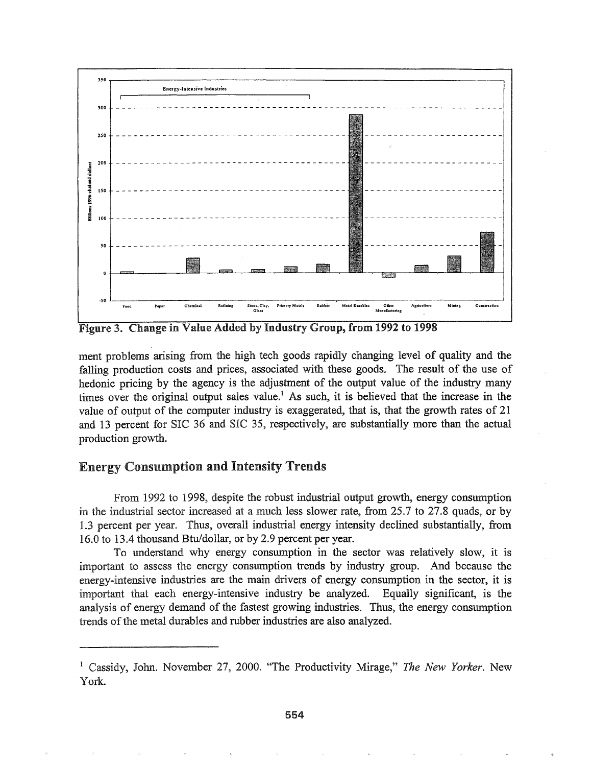

Figure 30 Change in Value Added by Industry Group, from 1992 to 1998

ment problems arising from the high tech goods rapidly changing level of quality and the falling production costs and prices, associated with these goods. The result of the use of hedonic pricing by the agency is the adjustment of the output value of the industry many times over the original output sales value.<sup>1</sup> As such, it is believed that the increase in the value of output of the computer industry is exaggerated, that is, that the growth rates of  $21$ and 13 percent for SIC 36 and SIC 35, respectively, are substantially more than the actual production growth.

# Energy Consumption and Intensity Trends

1992 to 1998, despite the robust industrial output growth, energy consumption in the industrial sector increased at a much less slower rate, from 25.7 to 27.8 quads, or by 1.3 percent per year. Thus, overall industrial energy intensity declined substantially, from 16.0 to 13.4 thousand Btu/dollar, or by 2.9 percent per year.

To understand why energy consumption in the sector was relatively slow, it is important to assess the energy consumption trends by industry group. And because the energy-intensive industries are the main drivers of energy consumption in the sector, it is important that each energy-intensive industry be analyzed. Equally significant, is the analysis of energy demand of the fastest growing industries. Thus, the energy consumption trends of the metal durables and rubber industries are also analyzed.

<sup>&</sup>lt;sup>1</sup> Cassidy, John. November 27, 2000. "The Productivity Mirage," The New Yorker. New York.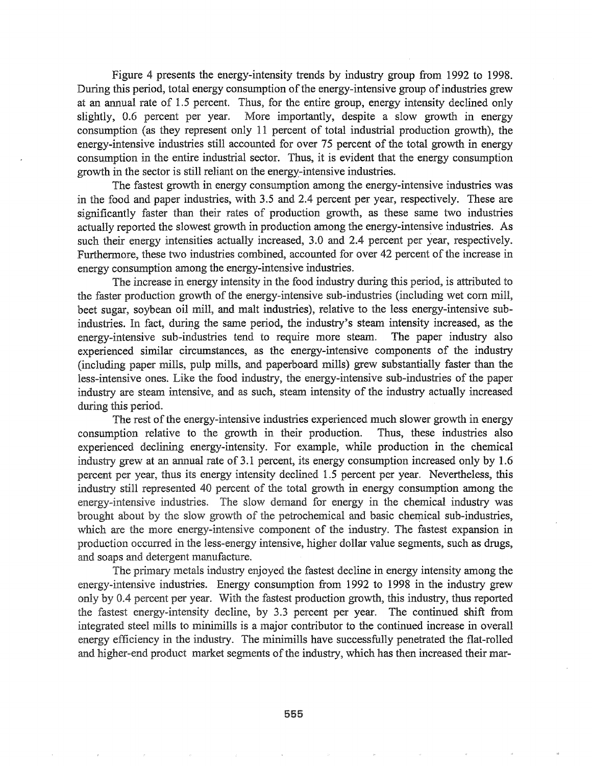Figure 4 presents the energy-intensity trends by industry group from 1992 to 1998. During this period, total energy consumption of the energy-intensive group of industries grew at an annual rate of 1.5 percent. Thus, for the entire group, energy intensity declined only slightly, 0.6 percent per year. More importantly, despite a slow growth in energy consumption (as they represent only 11 percent of total industrial production growth), the energy-intensive industries still accounted for over 75 percent of the total growth in energy consumption in the entire industrial sector. Thus, it is evident that the energy consumption growth in the sector is still reliant on the energy-intensive industries.

The fastest growth in energy consumption among the energy-intensive industries was in the food and paper industries, with 3.5 and 2.4 percent per year, respectively. These are significantly faster than their rates of production growth, as these same two industries actually reported the slowest growth in production among the energy-intensive industries. As such their energy intensities actually increased, 3.0 and 2.4 percent per year, respectively. Furthermore, these two industries combined, accounted for over 42 percent of the increase in energy consumption among the energy-intensive industries.

The increase in energy intensity in the food industry during this period, is attributed to the faster production growth of the energy-intensive sub-industries (including wet corn mill, beet sugar, soybean oil mill, and malt industries), relative to the less energy-intensive subindustries. In fact, during the same period, the industry's steam intensity increased, as the energy-intensive sub-industries tend to require more steam. The paper industry also experienced similar circumstances, as the energy-intensive components of the industry (including paper mills, pulp mills, and paperboard mills) grew substantially faster than the less-intensive ones. Like the food industry, the' energy-intensive sub-industries of the paper industry are steam intensive, and as such, steam intensity of the industry actually increased during this period.

The rest of the energy-intensive industries experienced much slower growth in energy consumption relative to the growth in their production. Thus, these industries also experienced declining energy-intensity. For example, while production in the chemical industry grew at an annual rate of 3.1 percent, its energy consumption increased only by 1.6 percent per year, thus its energy intensity declined 1.5 percent per year. Nevertheless, this industry still represented 40 percent of the total growth in energy consumption among the energy-intensive industries. The slow demand for energy in the chemical industry was brought about by the slow growth of the petrochemical and basic chemical sub-industries, which are the more energy-intensive component of the industry. The fastest expansion in production occurred in the less-energy intensive, higher dollar value segments, such as drugs, and soaps and detergent manufacture.

The primary metals industry enjoyed the fastest decline in energy intensity among the energy-intensive industries. Energy consumption from 1992 to 1998 in the industry grew by 0.4 percent per year. With the fastest production growth, this industry, thus reported the fastest energy-intensity decline, by 3.3 percent per year. The continued shift from integrated steel mills to minimills is a major contributor to the continued increase in overall energy efficiency in the industry. The minimills have successfully penetrated the flat-rolled and higher-end product market segments of the industry, which has then increased their mar-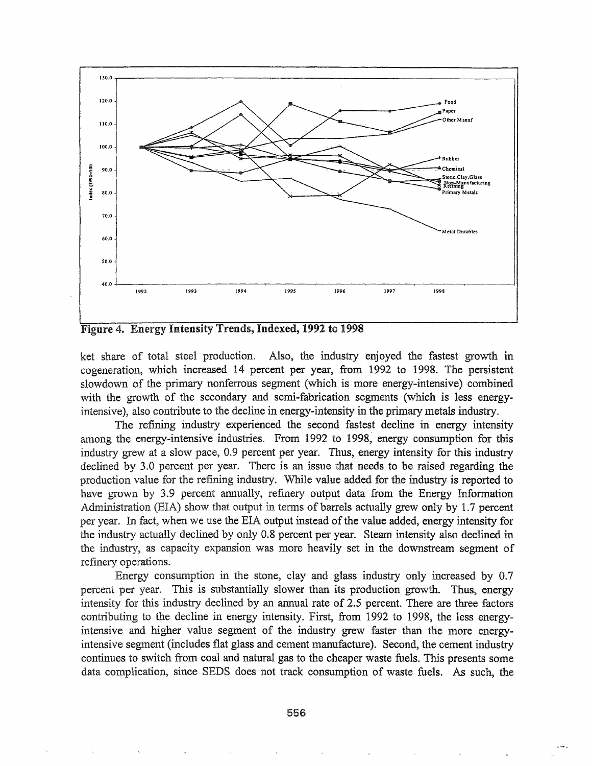

Figure 4. Energy Intensity Trends, Indexed, 1992 to 1998

ket share of total steel production. Also, the industry enjoyed the fastest growth in cogeneration, which increased 14 percent per year, from 1992 to 1998. The persistent slowdown of the primary nonferrous segment (which is more energy-intensive) combined with the growth of the secondary and semi-fabrication segments (which is less energyintensive), also contribute to the decline in energy-intensity in the primary metals industry.

The refining industry experienced the second fastest decline in energy intensity among the energy-intensive industries. From 1992 to 1998, energy consumption for this industry grew at a slow pace, 0.9 percent per year. Thus, energy intensity for this industry declined by 3.0 percent per year. There is an issue that needs to be raised regarding the production value for the refining industry. While value added for the industry is reported to have grown by 3.9 percent annually, refinery output data from the Energy Information Administration (EIA) show that output in terms of barrels actually grew only by 1.7 percent per year. In fact, when we use the EIA output instead of the value added, energy intensity for the industry actually declined by only 0.8 percent per year. Steam intensity also declined in the industry, as capacity expansion was more heavily set in the downstream segment of refinery operations.

Energy consumption the stone, clay and glass industry only increased by 0.7 percent per year. This is substantially slower than its production growth. Thus, energy intensity for this industry declined by an annual rate of 2.5 percent. There are three factors contributing to the decline in energy intensity. First, from 1992 to 1998, the less energyintensive and higher value segment of the industry grew faster than the more energyintensive segment (includes flat glass and cement manufacture). Second, the cement industry continues to switch from coal and natural gas to the cheaper waste fuels. This presents some data complication, since SEDS does not track consumption of waste fuels. As such, the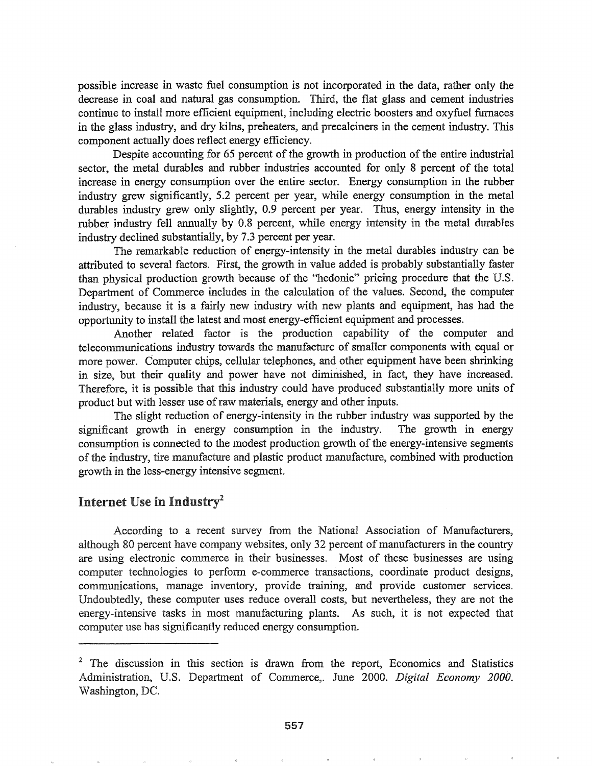possible increase in waste fuel consumption is not incorporated in the data, rather only the decrease in coal and natural gas consumption. Third, the flat glass and cement industries continue to install more efficient equipment, including electric boosters and oxyfuel furnaces in the glass industry, and dry kilns, preheaters, and precalciners in the cement industry. This component actually does reflect energy efficiency.

Despite accounting for 65 percent of the growth in production of the entire industrial sector, the metal durables and rubber industries accounted for only 8 percent of the total increase in energy consumption over the entire sector. Energy consumption in the rubber industry grew significantly, 5.2 percent per year, while energy consumption in the metal durables industry grew only slightly, 0.9 percent per year. Thus, energy intensity in the rubber industry fell annually by 0.8 percent, while energy intensity in the metal durables industry declined substantially, by 7.3 percent per year.

The remarkable reduction of energy-intensity in the metal durables industry can be attributed to several factors. First, the growth in value added is probably substantially faster than physical production growth because of the "hedonic" pricing procedure that the U.S. Department of Commerce includes in the calculation of the values. Second, the computer industry, because it is a fairly new industry with new plants and equipment, has had the opportunity to install the latest and most energy-efficient equipment and processes.

Another related factor is the production capability of the computer and telecommunications industry towards the manufacture of smaller components with equal or more power. Computer chips, cellular telephones, and other equipment have been shrinking in size, but their quality and power have not diminished, in fact, they have increased. Therefore, it is possible that this industry could have produced substantially more units of product but with lesser use of raw materials, energy and other inputs.

The slight reduction of energy-intensity in the rubber industry was supported by the significant growth in energy consumption in the industry. The growth in energy consumption is connected to the modest production growth of the energy-intensive segments of the industry, tire manufacture and plastic product manufacture, combined with production growth in the less-energy intensive segment.

# Internet Use in Industry<sup>2</sup>

According to a recent survey from the National Association of Manufacturers, although 80 percent have company websites, only 32 percent of manufacturers in the country are using electronic commerce in their businesses. Most of these businesses are using computer technologies to perform e-commerce transactions, coordinate product designs, communications, manage inventory, provide training, and provide customer services. Undoubtedly, these computer uses reduce overall costs, but nevertheless, they are not the energy-intensive tasks in most manufacturing plants. As such, it is not expected that computer use has significantly reduced energy consumption.

<sup>&</sup>lt;sup>2</sup> The discussion in this section is drawn from the report, Economics and Statistics Administration, U.S. Department of Commerce,. June 2000. *Digital Economy 2000*. Washington, DC.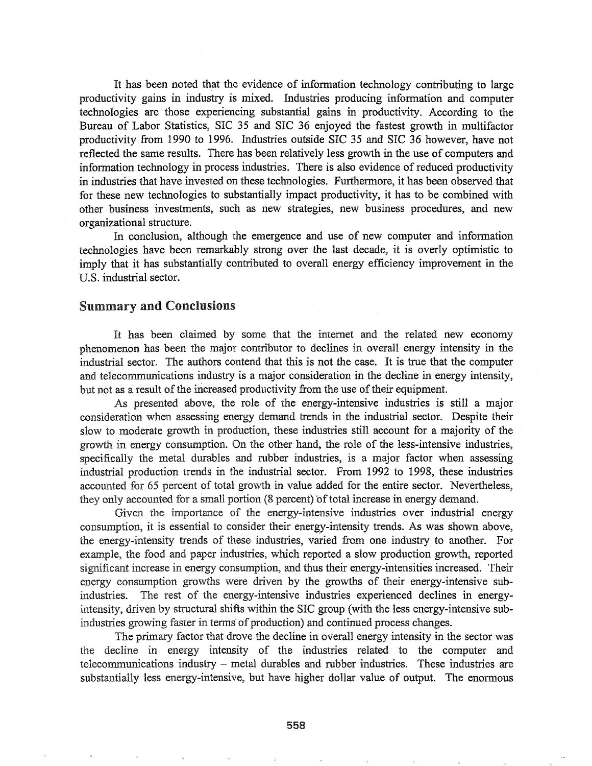It has been noted that the evidence of information technology contributing to large productivity gains in industry is mixed. Industries producing information and computer technologies are those experiencing substantial gains in productivity. According to the Bureau of Labor Statistics, SIC 35 and SIC 36 enjoyed the fastest growth in multifactor productivity from 1990 to 1996. Industries outside SIC 35 and SIC 36 however, have not reflected the same results. There has been relatively less growth in the use of computers and information technology in process industries. There is also evidence of reduced productivity in industries that have invested on these technologies. Furthermore, it has been observed that for these new technologies to substantially impact productivity, it has to be combined with other business investments, such as new strategies, new business procedures, and new organizational structure.

In conclusion, although the emergence and use of new computer and information technologies have been remarkably strong over the last decade, it is overly optimistic to imply that it has substantially contributed to overall energy efficiency improvement in the U.S. industrial sector.

#### Summary and Conclusions

It has been claimed by some that the internet and the related new economy phenomenon has been the major contributor to declines in overall energy intensity in the industrial sector. The authors contend that this is not the case. It is true that the computer and telecommunications industry is a major consideration in the decline in energy intensity, but not as a result of the increased productivity from the use of their equipment.

As presented above, the role of the energy-intensive industries is still a major consideration when assessing energy demand trends in the industrial sector. Despite their slow to moderate growth in production, these industries still account for a majority of the growth in energy consumption. On the other hand, the role of the less-intensive industries, specifically the metal durables and rubber industries, is a major factor when assessing industrial production trends in the industrial sector. From 1992 to 1998, these industries accounted for 65 percent of total growth in value added for the entire sector. Nevertheless, they only accounted for a small portion (8 percent) of total increase in energy demand.

Given the importance of the energy-intensive industries over industrial energy consumption, it is essential to consider their energy-intensity trends. As was shown above, the energy-intensity trends of these industries, varied from one industry to another. For example, the food and paper industries, which reported a slow production growth, reported significant increase in energy consumption, and thus their energy-intensities increased. Their energy consumption growths were driven by the growths of their energy-intensive subindustries. The rest of the energy-intensive industries experienced declines in energyintensity, driven by structural shifts within the SIC group (with the less energy-intensive subindustries growing faster in terms of production) and continued process changes.

The primary factor that drove the decline in overall energy intensity in the sector was the decline in energy intensity of the industries related to the computer and telecommunications industry  $-$  metal durables and rubber industries. These industries are substantially less energy-intensive, but have higher dollar value of output. The enormous